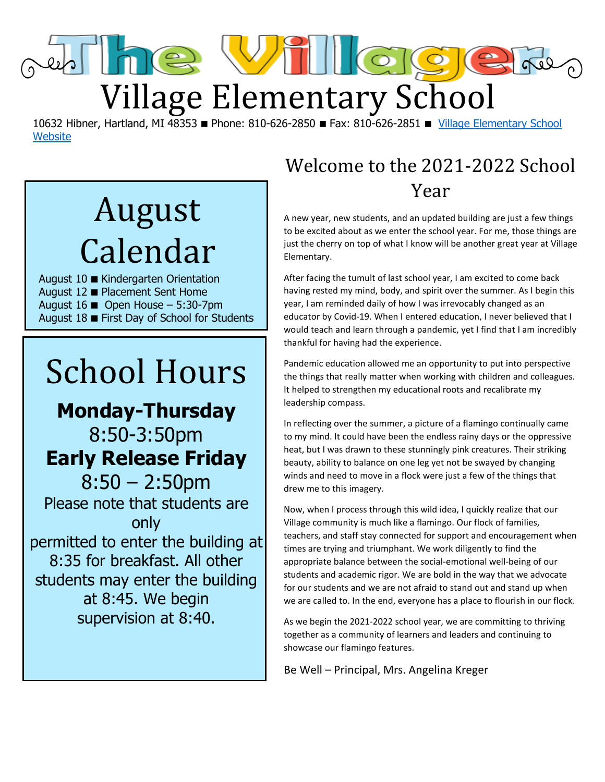

# Village Elementary School

10632 Hibner, Hartland, MI 48353 Phone: 810-626-2850 Fax: 810-626-2851 Village Elementary School **[Website](http://village.hartlandschools.us/)** 

# August Calendar

August  $10$   $\blacksquare$  Kindergarten Orientation August  $12 \blacksquare$  Placement Sent Home August  $16 \blacksquare$  Open House - 5:30-7pm August  $18 \blacksquare$  First Day of School for Students

# School Hours

**Monday-Thursday** 8:50-3:50pm **Early Release Friday**  8:50 – 2:50pm Please note that students are only permitted to enter the building at 8:35 for breakfast. All other students may enter the building at 8:45. We begin supervision at 8:40.

# Welcome to the 2021-2022 School Year

A new year, new students, and an updated building are just a few things to be excited about as we enter the school year. For me, those things are just the cherry on top of what I know will be another great year at Village Elementary.

After facing the tumult of last school year, I am excited to come back having rested my mind, body, and spirit over the summer. As I begin this year, I am reminded daily of how I was irrevocably changed as an educator by Covid-19. When I entered education, I never believed that I would teach and learn through a pandemic, yet I find that I am incredibly thankful for having had the experience.

Pandemic education allowed me an opportunity to put into perspective the things that really matter when working with children and colleagues. It helped to strengthen my educational roots and recalibrate my leadership compass.

In reflecting over the summer, a picture of a flamingo continually came to my mind. It could have been the endless rainy days or the oppressive heat, but I was drawn to these stunningly pink creatures. Their striking beauty, ability to balance on one leg yet not be swayed by changing winds and need to move in a flock were just a few of the things that drew me to this imagery.

Now, when I process through this wild idea, I quickly realize that our Village community is much like a flamingo. Our flock of families, teachers, and staff stay connected for support and encouragement when times are trying and triumphant. We work diligently to find the appropriate balance between the social-emotional well-being of our students and academic rigor. We are bold in the way that we advocate for our students and we are not afraid to stand out and stand up when we are called to. In the end, everyone has a place to flourish in our flock.

As we begin the 2021-2022 school year, we are committing to thriving together as a community of learners and leaders and continuing to showcase our flamingo features.

Be Well – Principal, Mrs. Angelina Kreger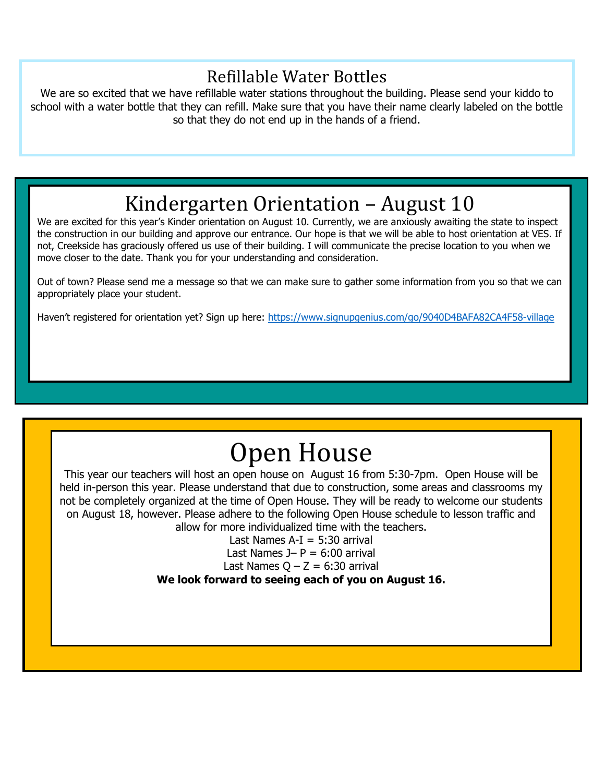## Refillable Water Bottles

We are so excited that we have refillable water stations throughout the building. Please send your kiddo to school with a water bottle that they can refill. Make sure that you have their name clearly labeled on the bottle so that they do not end up in the hands of a friend.

# Kindergarten Orientation – August 10

We are excited for this year's Kinder orientation on August 10. Currently, we are anxiously awaiting the state to inspect the construction in our building and approve our entrance. Our hope is that we will be able to host orientation at VES. If not, Creekside has graciously offered us use of their building. I will communicate the precise location to you when we move closer to the date. Thank you for your understanding and consideration.

Out of town? Please send me a message so that we can make sure to gather some information from you so that we can appropriately place your student.

Haven't registered for orientation yet? Sign up here:<https://www.signupgenius.com/go/9040D4BAFA82CA4F58-village>

# Open House

This year our teachers will host an open house on August 16 from 5:30-7pm. Open House will be held in-person this year. Please understand that due to construction, some areas and classrooms my not be completely organized at the time of Open House. They will be ready to welcome our students on August 18, however. Please adhere to the following Open House schedule to lesson traffic and allow for more individualized time with the teachers.

Last Names  $A-I = 5:30$  arrival Last Names  $J - P = 6:00$  arrival Last Names  $Q - Z = 6:30$  arrival **We look forward to seeing each of you on August 16.**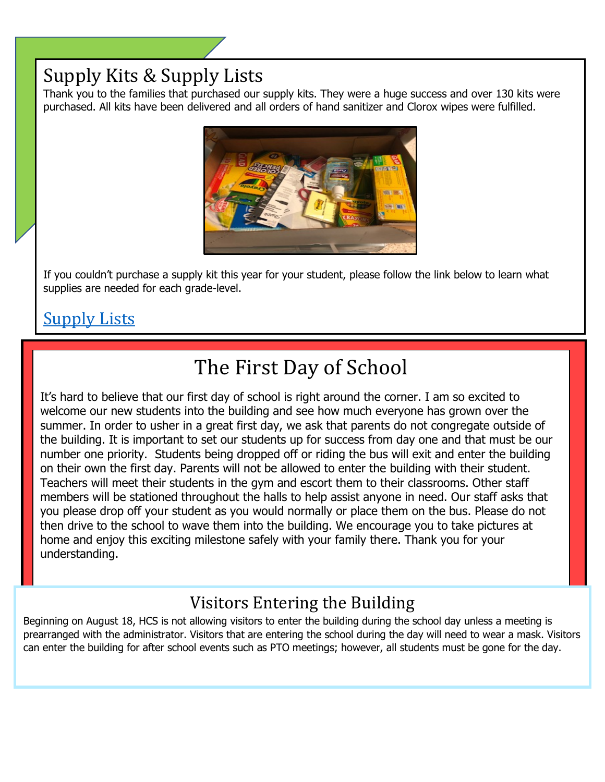## Supply Kits & Supply Lists

Thank you to the families that purchased our supply kits. They were a huge success and over 130 kits were purchased. All kits have been delivered and all orders of hand sanitizer and Clorox wipes were fulfilled.



If you couldn't purchase a supply kit this year for your student, please follow the link below to learn what supplies are needed for each grade-level.

## **Supply Lists**

# The First Day of School

It's hard to believe that our first day of school is right around the corner. I am so excited to welcome our new students into the building and see how much everyone has grown over the summer. In order to usher in a great first day, we ask that parents do not congregate outside of the building. It is important to set our students up for success from day one and that must be our number one priority. Students being dropped off or riding the bus will exit and enter the building on their own the first day. Parents will not be allowed to enter the building with their student. Teachers will meet their students in the gym and escort them to their classrooms. Other staff members will be stationed throughout the halls to help assist anyone in need. Our staff asks that you please drop off your student as you would normally or place them on the bus. Please do not then drive to the school to wave them into the building. We encourage you to take pictures at home and enjoy this exciting milestone safely with your family there. Thank you for your understanding.

## Visitors Entering the Building

Beginning on August 18, HCS is not allowing visitors to enter the building during the school day unless a meeting is prearranged with the administrator. Visitors that are entering the school during the day will need to wear a mask. Visitors can enter the building for after school events such as PTO meetings; however, all students must be gone for the day.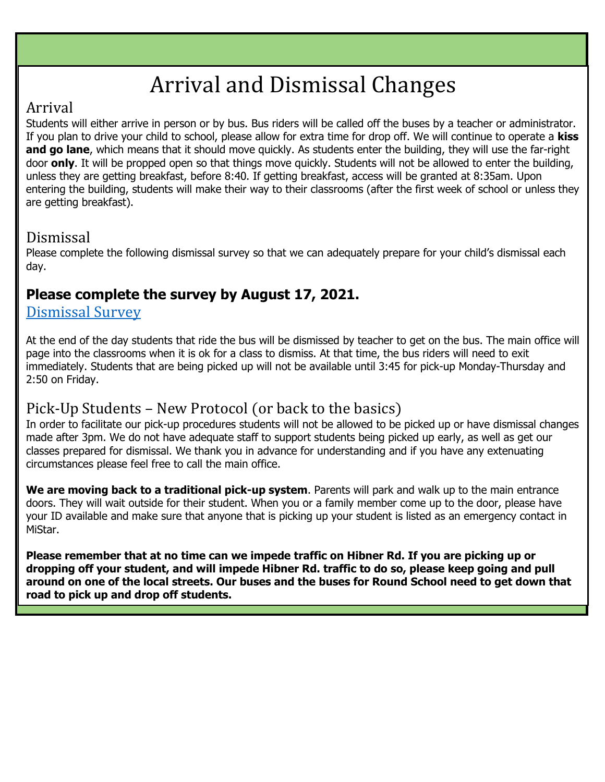# Arrival and Dismissal Changes

#### Arrival

Students will either arrive in person or by bus. Bus riders will be called off the buses by a teacher or administrator. If you plan to drive your child to school, please allow for extra time for drop off. We will continue to operate a **kiss and go lane**, which means that it should move quickly. As students enter the building, they will use the far-right door **only**. It will be propped open so that things move quickly. Students will not be allowed to enter the building, unless they are getting breakfast, before 8:40. If getting breakfast, access will be granted at 8:35am. Upon entering the building, students will make their way to their classrooms (after the first week of school or unless they are getting breakfast).

#### Dismissal

Please complete the following dismissal survey so that we can adequately prepare for your child's dismissal each day.

#### **Please complete the survey by August 17, 2021.**

#### [Dismissal Survey](https://docs.google.com/forms/d/e/1FAIpQLScxvoKWYOmZs2eNYtJCd6vUJmwtwjIoQO4Ka6PD0ScChOD2SQ/closedform)

At the end of the day students that ride the bus will be dismissed by teacher to get on the bus. The main office will page into the classrooms when it is ok for a class to dismiss. At that time, the bus riders will need to exit immediately. Students that are being picked up will not be available until 3:45 for pick-up Monday-Thursday and 2:50 on Friday.

#### Pick-Up Students – New Protocol (or back to the basics)

In order to facilitate our pick-up procedures students will not be allowed to be picked up or have dismissal changes made after 3pm. We do not have adequate staff to support students being picked up early, as well as get our classes prepared for dismissal. We thank you in advance for understanding and if you have any extenuating circumstances please feel free to call the main office.

**We are moving back to a traditional pick-up system**. Parents will park and walk up to the main entrance doors. They will wait outside for their student. When you or a family member come up to the door, please have your ID available and make sure that anyone that is picking up your student is listed as an emergency contact in MiStar.

**Please remember that at no time can we impede traffic on Hibner Rd. If you are picking up or dropping off your student, and will impede Hibner Rd. traffic to do so, please keep going and pull around on one of the local streets. Our buses and the buses for Round School need to get down that road to pick up and drop off students.**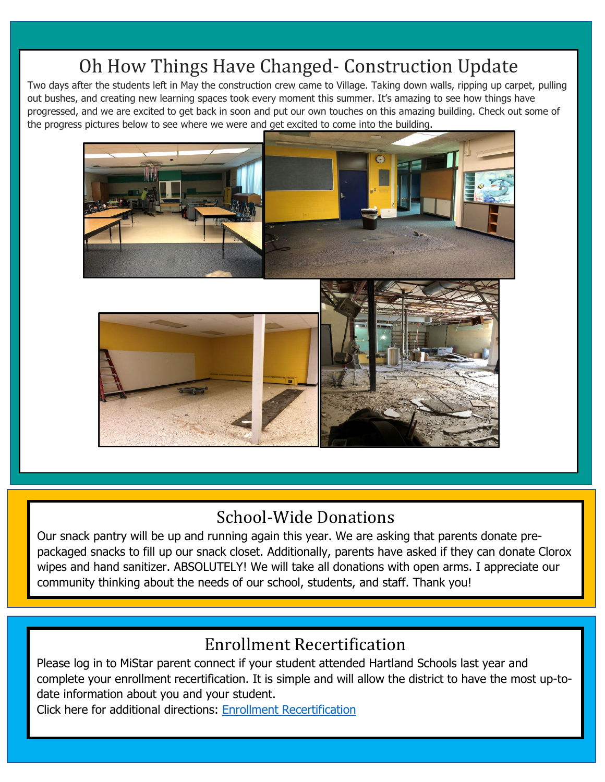# Oh How Things Have Changed- Construction Update

Two days after the students left in May the construction crew came to Village. Taking down walls, ripping up carpet, pulling out bushes, and creating new learning spaces took every moment this summer. It's amazing to see how things have progressed, and we are excited to get back in soon and put our own touches on this amazing building. Check out some of the progress pictures below to see where we were and get excited to come into the building.



### School-Wide Donations

Our snack pantry will be up and running again this year. We are asking that parents donate prepackaged snacks to fill up our snack closet. Additionally, parents have asked if they can donate Clorox wipes and hand sanitizer. ABSOLUTELY! We will take all donations with open arms. I appreciate our community thinking about the needs of our school, students, and staff. Thank you!

## Enrollment Recertification

Please log in to MiStar parent connect if your student attended Hartland Schools last year and complete your enrollment recertification. It is simple and will allow the district to have the most up-todate information about you and your student.

Click here for additional directions: Enrollment Recertification